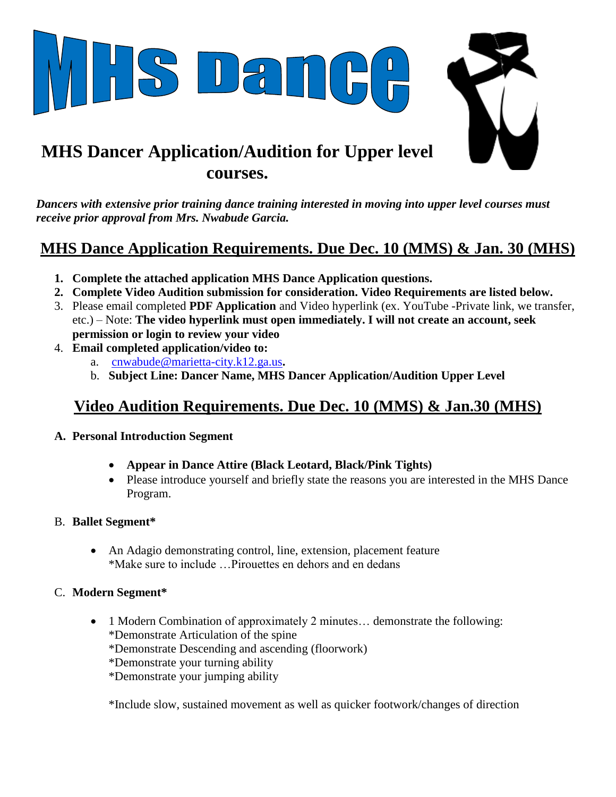

*Dancers with extensive prior training dance training interested in moving into upper level courses must receive prior approval from Mrs. Nwabude Garcia.*

# **MHS Dance Application Requirements. Due Dec. 10 (MMS) & Jan. 30 (MHS)**

- **1. Complete the attached application MHS Dance Application questions.**
- **2. Complete Video Audition submission for consideration. Video Requirements are listed below.**
- 3. Please email completed **PDF Application** and Video hyperlink (ex. YouTube -Private link, we transfer, etc.) – Note: **The video hyperlink must open immediately. I will not create an account, seek permission or login to review your video**
- 4. **Email completed application/video to:** 
	- a. [cnwabude@marietta-city.k12.ga.us](mailto:cnwabude@marietta-city.k12.ga.us)**.**
	- b. **Subject Line: Dancer Name, MHS Dancer Application/Audition Upper Level**

# **Video Audition Requirements. Due Dec. 10 (MMS) & Jan.30 (MHS)**

- **A. Personal Introduction Segment** 
	- **Appear in Dance Attire (Black Leotard, Black/Pink Tights)**
	- Please introduce yourself and briefly state the reasons you are interested in the MHS Dance Program.

### B. **Ballet Segment\***

 An Adagio demonstrating control, line, extension, placement feature \*Make sure to include …Pirouettes en dehors and en dedans

### C. **Modern Segment\***

- 1 Modern Combination of approximately 2 minutes... demonstrate the following: \*Demonstrate Articulation of the spine
	- \*Demonstrate Descending and ascending (floorwork)
	- \*Demonstrate your turning ability
	- \*Demonstrate your jumping ability

\*Include slow, sustained movement as well as quicker footwork/changes of direction